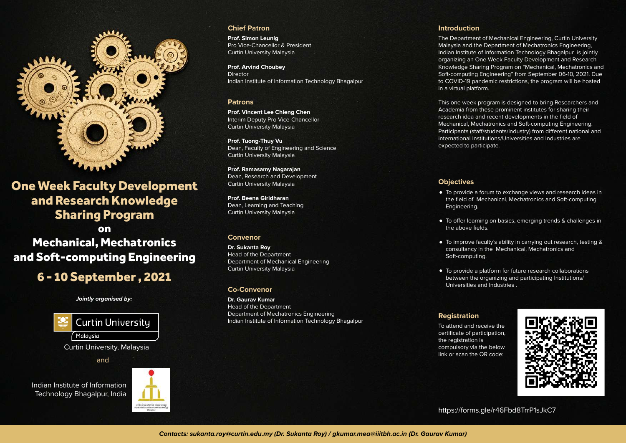

One Week Faculty Development and Research Knowledge Sharing Program

Mechanical, Mechatronics and Soft-computing Engineering on

# 6 - 10 September , 2021

**Jointly organised by:**



and

Indian Institute of Information Technology Bhagalpur, India



# **Chief Patron**

**Prof. Simon Leunig** Pro Vice-Chancellor & President Curtin University Malaysia

**Prof. Arvind Choubey**  Director Indian Institute of Information Technology Bhagalpur

## **Patrons**

**Prof. Vincent Lee Chieng Chen** Interim Deputy Pro Vice-Chancellor Curtin University Malaysia

**Prof. Tuong-Thuy Vu**  Dean, Faculty of Engineering and Science Curtin University Malaysia

**Prof. Ramasamy Nagarajan** Dean, Research and Development Curtin University Malaysia

**Prof. Beena Giridharan**  Dean, Learning and Teaching Curtin University Malaysia

# **Convenor**

**Dr. Sukanta Roy** Head of the Department Department of Mechanical Engineering Curtin University Malaysia

# **Co-Convenor**

**Dr. Gaurav Kumar** Head of the Department Department of Mechatronics Engineering Indian Institute of Information Technology Bhagalpur

## **Introduction**

The Department of Mechanical Engineering, Curtin University Malaysia and the Department of Mechatronics Engineering, Indian Institute of Information Technology Bhagalpur is jointly organizing an One Week Faculty Development and Research Knowledge Sharing Program on "Mechanical, Mechatronics and Soft-computing Engineering" from September 06-10, 2021. Due to COVID-19 pandemic restrictions, the program will be hosted in a virtual platform.

This one week program is designed to bring Researchers and Academia from these prominent institutes for sharing their research idea and recent developments in the field of Mechanical, Mechatronics and Soft-computing Engineering. Participants (staff/students/industry) from different national and international Institutions/Universities and Industries are expected to participate.

# **Objectives**

- To provide a forum to exchange views and research ideas in the field of Mechanical, Mechatronics and Soft-computing Engineering.
- To offer learning on basics, emerging trends & challenges in the above fields.
- To improve faculty's ability in carrying out research, testing & consultancy in the Mechanical, Mechatronics and Soft-computing.
- To provide a platform for future research collaborations between the organizing and participating Institutions/ Universities and Industries .

# **Registration**

To attend and receive the certificate of participation, the registration is compulsory via the below link or scan the QR code:



https://forms.gle/r46Fbd8TrrP1sJkC7